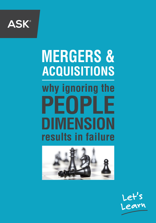

# **MERGERS & ACQUISITIONS** why ignoring the PEOPLE **DIMENSION** results in failure



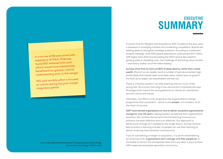### **EXECUTIVE SUMMARY**

It's boom time for Mergers and Acquisitions. With troubles in the euro zone, a slowdown in emerging markets and unrelenting competition, Boards are seeking deals to strengthen strategic positions. According to investment analysts Dealogic, total 2015 global expenditure could exceed \$4.7 trillion, 34% higher than 2014 and exceeding the 2007 record. But whether growing sales or shedding costs, the challenge of extracting value remains - and history makes uncomfortable reading.

**Surveys show that as many as 80% of deals destroy rather than create wealth.** Most of us can readily recall a number of well-documented, highprofile deals that should never have been done: others were as good in the flesh as on paper, yet shareholders still lost out.

There is a familiar pattern: too little listening and too much of the wrong talk. Structures that cling to the old and fail to facilitate the new. Strategies that reward the wrong behaviours. Above all, insensitivity around culture and values.

Ultimately, any M&A is only as good as the organisational change programme that succeeds it - which is why *people*, not numbers, lie at the heart of success.

**ASK® have advised organisations on how to deliver successful organisational change for over 20 years**, helping leaders accelerate their organisations' evolution. We combine formal and informal learning to ensure our solutions are both effective and cost-effective. Our approach to behavioural change isn't wedded to any single theory, and we harness best practice in learning transfer so people can use their learning to deliver enduring improvements in productivity.

If you're considering a merger or acquisition, it is worth remembering an enduring truth: **organisations don't change until their people do**. In the battle to extract the anticipated value from any deal, it pays to have ASK's experienced people specialists around you.

**In a survey of 90 executives with experience of M&A, McKinsey found 92% believed their past efforts would have substantially benefited from greater cultural understanding prior to the merger.**

**72% said too little effort is focused on culture during the post-merger integration period.**

> *Source: Peter Buell Hirsh: Being Awkward: Creating Conscious Culture Change, Journal of Business Strategy Vol.36 No.1 2015*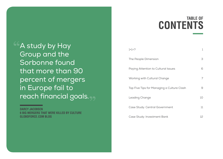## **TABLE OF CONTENTS**

 $1+1=$ ? The People Dimension 3 Paying Attention to Cultural Issues 6 Working with Cultural Change 7 Top Five Tips for Managing a Culture Clash 9 Leading Change 10 Case Study: Central Government 11 Case Study: Investment Bank 12

**A study by Hay** Group and the Sorbonne found that more than 90 percent of mergers in Europe fail to reach financial goals.

**DARCY JACOBSEN 6 BIG MERGERS THAT WERE KILLED BY CULTURE GLOBOFORCE.COM BLOG**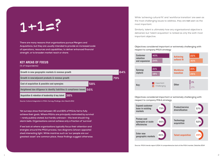

**There are many reasons that organisations pursue Mergers and Acquisitions, but they are usually intended to provide an increased scale of operations, resources and capabilities, to deliver enhanced financial strength, or to broaden market reach or share.** 

#### **KEY AREAS OF FOCUS**

#### **(% of respondents)**



*Source: Culture Integration in M&A: Survey Findings, Aon Hewitt 2011*

**Yet surveys show that between 40 and 83% of M&As fail to fully achieve their goals. Where M&As are principally motivated by survival – rarely publicly stated, but hardly unknown - this level should ring alarm bells. Organisations cannot achieve only a fraction of 'survival'.**

**If we look at where organisations typically focus their attention and energies around the M&A process, two diagrams (shown opposite) shed interesting light. While mantras such as 'our people are our greatest asset' are common place, these findings suggest otherwise.** While 'achieving cultural fit' and 'workforce transition' are seen as the most challenging issues to address, they are **not** seen as the most important.

Similarly, talent is ultimately how any organisational objective is delivered, but 'talent acquisition' is ranked as only the sixth most important objective.

#### **Objectives considered important or extremely challenging with respect to company M&A strategy**



**Objectives considered important or extremely challenging with respect to company M&A strategy**



*Source: M&A trends report 2014: A comprehensive look at the M&A market, Deloitte 2014*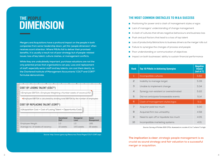## **THE PEOPLE DIMENSION**

**Mergers and Acquisitions have a profound impact on the people in both companies from senior leadership down, yet this 'people dimension' often receives scant attention. Where M&As fail to deliver their promised benefits, it is usually a result not of poor strategy but of people-related issues: loss of key talent, culture clashes, or management conflicts.**

**While they are undoubtedly important, purchase valuations are not the only potential prices that organisations can pay. Loss and replacement of staff, especially senior staff and key talents, can cost them dearly, as the Chartered Institute of Management Accountants' COLT© and CORT© formulae demonstrate.** 

|                     | $\mathsf{A}$                    | B                                                                                        | C                                                              | D | E | F                  | G | H                 |  |                   | K |  |  |
|---------------------|---------------------------------|------------------------------------------------------------------------------------------|----------------------------------------------------------------|---|---|--------------------|---|-------------------|--|-------------------|---|--|--|
|                     |                                 |                                                                                          |                                                                |   |   |                    |   |                   |  |                   |   |  |  |
|                     |                                 |                                                                                          | <b>COST OF LOSING TALENT (COLT<sup>®</sup>)</b>                |   |   |                    |   |                   |  |                   |   |  |  |
| $\overline{3}$      |                                 |                                                                                          |                                                                |   |   |                    |   |                   |  |                   |   |  |  |
| 4                   |                                 |                                                                                          |                                                                |   |   |                    |   |                   |  |                   |   |  |  |
| 5                   |                                 | =(Employee EBITDA x Employee Weighting x Number weeks of vacancy)/52                     |                                                                |   |   |                    |   |                   |  |                   |   |  |  |
| 6<br>$\overline{7}$ |                                 |                                                                                          |                                                                |   |   |                    |   |                   |  |                   |   |  |  |
| 8                   |                                 |                                                                                          |                                                                |   |   |                    |   |                   |  |                   |   |  |  |
| $\overline{9}$      |                                 | <b>Employee EBITDA is calculated by dividing total EBITDA by the number of employees</b> |                                                                |   |   |                    |   |                   |  |                   |   |  |  |
| 10                  |                                 |                                                                                          |                                                                |   |   |                    |   |                   |  |                   |   |  |  |
| 11                  |                                 |                                                                                          |                                                                |   |   |                    |   |                   |  |                   |   |  |  |
|                     |                                 | COST OF REPLACING TALENT (CORT <sup>®</sup> )                                            |                                                                |   |   |                    |   |                   |  |                   |   |  |  |
| $\frac{12}{13}$     |                                 |                                                                                          |                                                                |   |   |                    |   |                   |  |                   |   |  |  |
| 14                  |                                 |                                                                                          |                                                                |   |   |                    |   |                   |  |                   |   |  |  |
| 15                  |                                 |                                                                                          | =(Acquisition Cost + Cost of Losing Talent + Opportunity Cost) |   |   |                    |   |                   |  |                   |   |  |  |
| 16                  |                                 |                                                                                          |                                                                |   |   |                    |   |                   |  |                   |   |  |  |
| 17                  |                                 |                                                                                          |                                                                |   |   |                    |   |                   |  |                   |   |  |  |
| 18                  |                                 |                                                                                          |                                                                |   |   |                    |   |                   |  |                   |   |  |  |
| 19                  |                                 |                                                                                          |                                                                |   |   | <b>Operational</b> |   | <b>Managerial</b> |  | <b>Senior</b>     |   |  |  |
| 20                  |                                 |                                                                                          |                                                                |   |   |                    |   |                   |  |                   |   |  |  |
| 21                  |                                 |                                                                                          |                                                                |   |   | <b>Staff</b>       |   | Level             |  | <b>Management</b> |   |  |  |
| 22<br>23            |                                 | <b>Employee Weight</b>                                                                   |                                                                |   |   | 1.0                |   | 1.0               |  | 1.85              |   |  |  |
| 24                  |                                 |                                                                                          |                                                                |   |   |                    |   |                   |  |                   |   |  |  |
| 25                  | Average no. of weeks of vacancy |                                                                                          |                                                                |   |   | 10 weeks           |   | 14.5 weeks        |  | 19 weeks          |   |  |  |
| 26                  |                                 |                                                                                          |                                                                |   |   |                    |   |                   |  |                   |   |  |  |
| 27                  |                                 |                                                                                          |                                                                |   |   |                    |   |                   |  |                   |   |  |  |
|                     |                                 |                                                                                          |                                                                |   |   |                    |   |                   |  |                   |   |  |  |

*Source: http://www.cgma.org/Resources/Tools/Pages/COLT-CORT.aspx*

#### **THE MOST COMMON OBSTACLES TO M&A SUCCESS**

- **Positioning for power and a clash of management styles or egos**
- Lack of managers' understanding of change management
- A clash of cultures that drives negative behaviours and business loss
- **Push and pull factors that lead to a loss of top talent**
- Loss of productivity/distractions to business drivers as the merger rolls out
- Failure to synergise the changes of process and people
- **Poor understanding or communication of objectives**
- **I** Impact on both businesses' ability to sustain financial performance

| <b>Rank</b>  | <b>Top 10 Pitfalls in Achieving Synergies</b> | <b>Negative</b><br><b>Impact</b><br>(out of $7$ ) |
|--------------|-----------------------------------------------|---------------------------------------------------|
| $\mathbf{1}$ | Incompatible cultures                         | 5.60                                              |
| 2            | Inability to manage target                    | 5.39                                              |
| 3            | Unable to implement change                    | 5.34                                              |
| 4            | Synergy non-existent or overestimated         | 5.22                                              |
| 5            | Did not anticipate foreseeable events         | 5.14                                              |
| 6            | Clash of management styles/egos               | 5.11                                              |
| 7            | Acquirer paid too much                        | 5.00                                              |
| 8            | Acquired firm too unhealthy                   | 4.58                                              |
| 9            | Need to spin off or liquidate too much        | 4.05                                              |
| 10           | Incompatible marketing systems                | 4.01                                              |

*Source: Survey of Forbes 500 CFOs. Assessed on a scale of 1 to 7, where 7 is high.*

**The implication is clear: strategic people management is as crucial as sound strategy and fair valuation to a successful merger or acquisition.**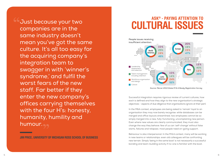Just because your two companies are in the same industry doesn't mean you've got the same culture. It's all too easy for the acquiring company's integration team to swagger in with 'winner's syndrome,' and fulfil the worst fears of the new staff. Far better if they enter the new company's offices carrying themselves with the four H's: honesty, humanity, humility and humour.

**JIM PRICE, UNIVERSITY OF MICHIGAN ROSS SCHOOL OF BUSINESS**

## **ASK<sup>®</sup> - PAYING ATTFNTION TO CULTURAL ISSUES**



*Source: Mercer 2013 Global M & A Ready Registration Survey*

Successful integration requires rigorous review of current cultures, how each is defined and how they align to the new organisation's strategic objectives - aspects of due diligence that organisations ignore at their peril.

In the M&A context, employees are being asked to 'remain' loyal to an organisation they may now barely recognise: while databases can be merged and office layouts streamlined, two employees cannot be so simply merged into a new, fully-functioning, uncomplaining new person. Even where new values are clearly communicated, they must also change the way they behave: few of us can 'self-change' without false starts, failures and relapses: most people need on-going support.

Behaviour is also interpersonal. In the M&A context, many will be working in new teams or relationships: even old colleagues will be confronting new terrain. Simply 'being in the same boat' is not necessarily a successful bonding and team-building activity if no-one is familiar with the boat.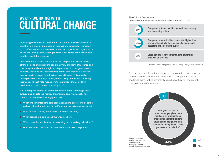### **ASK<sup>®</sup> - WORKING WITH CULTURAL CHANGE**

**Managing the impact of an M&A on the people of the businesses in question is a crucial dimension of managing a successful transition to a unified leadership, business model and organisation. Ignoring or giving too low a priority to longer-term 'soft' issues can all too easily lead to a swift, hard lesson.**

**Organisational culture can drive either competitive advantage or strategic drift, but it is manageable. Simply changing structures and control systems is not enough: strategies need to change at point of delivery, requiring not just encouragement and reason but routine and symbolic changes in behaviour and attitudes. This must be underpinned with change management programmes and learning interventions that help managers to implement them, and HR professionals need to take a strategic role.**

**We use applied models of change that help leaders manage their culture and enable the required transition, and which challenge them to answer the following questions:**

- **What are senior leaders' core assumptions and beliefs, and does the culture reflect these? How formal/informal are existing structures?**
- **What is most closely monitored/controlled and why?**
- **What stories are told about the organisation?**
- **Which visual symbols may be censoring or controlling behaviour?**
- $\blacksquare$  How would you describe the dominant cultural assumptions?

#### **The Culture Conundrum:**

**Companies know it's important but don't know what to do** 



*Source: Culture Integration in M&A: Survey Findings, Aon Hewitt 2011*

Once we have explored their responses, we combine contemporary thinking and research with proven change management tools, to challenge them to think differently about how they will implement change in each of these areas.

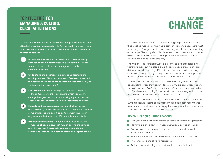### **TOP FIVE TIPS FOR MANAGING A CULTURE CLASH AFTER M&AS**

## **LEADING CHANGE**

**It's said that 'the devil is in the detail', but the greatest opportunities often lurk there too. In successful M&As, the most important – and most overlooked – 'detail' is often in the human element. Here are five tips to help you:** 

- **1 Have a people strategy: failure results more frequently because of people-related issues, such as the loss of key talent, culture clashes, and management conflict over strategic direction.**
- **2 Understand the situation: take time to understand the existing context of both environments (ie the acquirer and the acquired). What had made them function effectively as 'systems' in their own right?**
- **3 Decide what you want to keep: be clear which aspects of the culture you want to retain and which you wish to change. Mergers and acquisitions bring together not just organisational capabilities but also characters and styles**
- **4 Honesty and transparency: understand what you are actually asking of the people involved. In any M&A scenario, some employees are being asked to 'remain' loyal to an organisation that may now differ quite fundamentally**
- **5 Expect unpredictability: remember that businesses are composed of people, and that human beings are complex and changeable. They also have emotions and may sometimes respond in ways that others find unpredictable.**

In today's workplace, change is both a strategic imperative and a process that must be managed. And where someone is managing, others must be managed. Change cannot impact on an organisation without impacting on its people. To manage both, leaders must more than ever demonstrate a keen understanding of personal impact, self-awareness, attentive listening and a capacity for empathy.

The Kubler-Ross Transition Curve's similarity to a rollercoaster is not without reason, but it is also a simplification: people travel along it at different speeds, reaching different highs and lows. Multiple change cycles can overlap or play out in parallel. But there's another important aspect: some are leading change, while others are being led.

Those leading are further along the curve: while they experience the upward climb, those they lead still face a downward arc. Unless leaders can inspire others, "We're all in this together" can be a simplification too far. Clearly communicating future benefits, and continuing to do so, can help to keep longer-term gains more clearly in mind.

The Transition Curve also reminds us that resistance to change is a natural human response. Hearts and minds cannot be as readily reconfigured as an organisational chart, but knowing that resistance will be encountered increases the chances of a positive outcome.

#### **KEY SKILLS FOR CHANGE LEADERS**

- Delegation and positioning change advocates across the organisation
- Identifying 'early adopters' whose enthusiasm can be built upon
- Continuous, clear communication that addresses why as well as when, what and how
- **Emotional Intelligence, active listening and awareness of impact**
- **Awareness of signs of rising resistance**
- Actively demonstrating that trust would not be misplaced.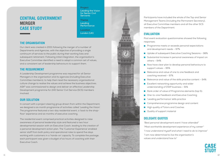### **CENTRAL GOVERNMENT MERGER CASE STUDY**

#### **Project**

**Leading the Vision for Senior Civil Servants**

#### **Theme Leading Performance Location London (UK)**

#### **THE ORGANISATION**

Our client was created in 2001 following the merger of a number of Departments and Agencies, with the objective of providing a single continuum of services to the public during their working lives and subsequent retirement. Following initial integration, the organisation's Executive Committee identified a need to adopt a common set of values, and a consistent set of leadership behaviours to support them.

#### **THE REQUIREMENT**

A Leadership Development programme was required for all Senior Managers in the organisation and its agencies (including Executive Committee members), to help them lead the necessary organisational culture change to realise the values and achieve the business objectives. ASK® was commissioned to design and deliver an effective Leadership Development programme for 240 Senior Civil Service (SCS) members involved.

#### **OUR SOLUTION**

In concert with a project steering group drawn from within the Department, we designed a six month programme of activities called 'Leading the Vision'. The programme featured a two-day residential event, a 'back to the shopfloor' experience and six months of executive coaching.

The residential event comprised practical activities designed to raise awareness of personal leadership style and featured a two hour developmental session with an Executive Coach, leading to the creation of a personal development action plan. The 'Customer Experience' enabled senior staff from both policy and operational roles to spend five days working with customers in a 'hands-on' capacity. To complete the package, each participant was given a budget of six hours of coaching with their Executive Coach.



Participants have included the whole of the Top and Senior Management Teams (including the Permanent Secretary), all Executive Committee members and all the other SCS members of the Department.

#### **EVALUATION**

Post event evaluation questionnaires showed the following responses:

- **Programme meets or exceeds personal expectations** and development needs – 97%
- Uptake of subsequent Executive Coaching Sessions 98%
- Substantial increase in personal awareness of impact on others – 94%
- Now have clear plan to develop personal behaviours to support values – 95%
- Relevance and value of one to one feedback and coaching received – 97%
- Relevance and value of the skills practice content  $-94\%$
- **EXCELLENT IN A LEASE CONCRL EXCELLENT** Excellent networking opportunity and wider understanding of DWP business – 91%
- Rank order of value of Programme elements (top 5):
- **D** One-to-one Feedback and Executive Coaching
- **Leading performance' skills practice**
- Comprehensive programme design and content
- **High quality of Tutors and Coaches**
- **Quality of support material**

#### **DELEGATE QUOTES**

 *"Best personal development event I have attended" "Most worthwhile development experience of my career" "I now understand myself and what I need to do to improve" "I am now determined to live the organisation's values and understand how to"* 

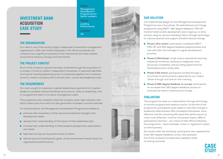### **INVESTMENT BANK ACQUISITION CASE STUDY**

#### **THE ORGANISATION**

Our client is one of the world's largest independent investment management organisations. With over 5,000 employees in 55 offices worldwide, the company has a significant presence in the institutional and retail markets across North America, Europe and Asia-Pacific.

#### **THE PROJECT CONTEXT**

Much of the company's growth has been achieved through the acquisition of a number of small to medium independent companies. A need was identified to bring the resulting disparate group of companies together into a cohesive whole to create a company with a shared vision, culture and leadership style.

#### **THE REQUIREMENT**

Our client sought to implement a global leadership programme for its senior leaders to establish shared standards and common views on leadership, and to recognise the talent in its senior management cadre.

The programme also needed to help the company retain high achievers and build a talent pool from which its next generation of leaders could be selected.

For its participants, the Management Development Programme needed to:

- **n** enhance their awareness of their personal leadership strengths and development needs
- develop their understanding of the impact of their leadership style
- **n** increase their understanding of other people's perspectives, expectations and needs
- **help them to improve the performance of others**
- **I** identify personal development goals, whose achievement would impact on organisational performance.



**Project Management Development Programme for Senior Leaders**

**Theme Leading Performance**

**Location UK**

#### **OUR SOLUTION**

Our implemented design for the Management Development Programme was a four phase, 30 week behavioural change programme using MBTI®, 360 degree feedback, FIRO-B®, transformational skills development and a rigorous re-entry process using our ground-breaking 'follow-through' technology to improve practice and support transformational change.

- **Phase 1 (Pre-event)**: participants completed MBTI®, FIRO-B® and 360 degree feedback questionnaires and met with their line managers to agree development priorities
- **Phase 2 (Workshop)**: a high impact experiential learning residential workshop, drawing on diagnostic tools previously completed, and providing opportunity for facilitated practice of key skills
- **Phase 3 (Re-entry)**: participants worked through a structured re-entry process supported by our unique 'follow-through' tool and on-line coaching
- **Phase 4 (360 degree feedback re-survey)**: participants re-surveyed their 360 degree feedback process to evaluate the extent of behavioural change.

### **EVALUATION**

facto

The programme used our unique follow-through technology to monitor progress and measure results. At the end of the programme, participants were asked to rate their change in leadership effectiveness: 91% considered themselves 'more effective' and the remaining 9% rated their performance as 'much more effective'. In terms of business impact, 96% of participants said that – as a result of their efforts following the programme – there had been 'some' or 'significant' impact on their business.

Six months after the workshop, participants also repeated the initial 360 degree feedback survey, and assessed five of the reviewed six leadership capability areas as having improved.